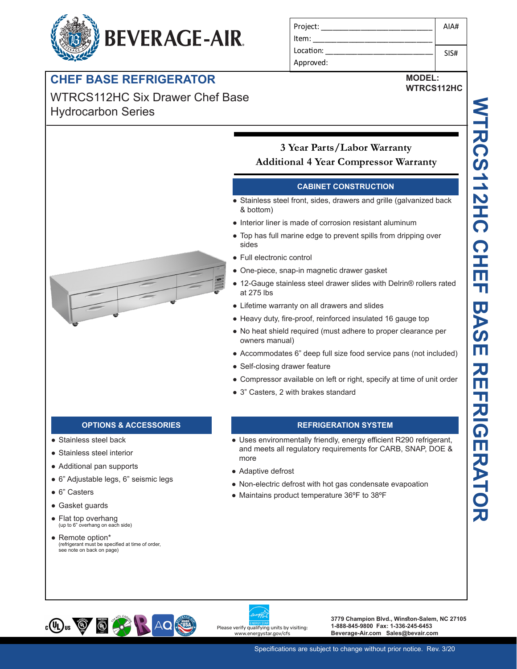# **BEVERAGE-AIR.**

# **CHEF BASE REFRIGERATOR**

WTRCS112HC Six Drawer Chef Base Hydrocarbon Series



# **MODEL:**

**WTRCS112HC** 



# **3 Year Parts/Labor Warranty Additional 4 Year Compressor Warranty**

### **CABINET CONSTRUCTION**

- Stainless steel front, sides, drawers and grille (galvanized back & bottom)
- Interior liner is made of corrosion resistant aluminum
- Top has full marine edge to prevent spills from dripping over sides
- Full electronic control
- One-piece, snap-in magnetic drawer gasket
- 12-Gauge stainless steel drawer slides with Delrin® rollers rated at 275 lbs
- Lifetime warranty on all drawers and slides
- Heavy duty, fire-proof, reinforced insulated 16 gauge top
- No heat shield required (must adhere to proper clearance per owners manual)
- Accommodates 6" deep full size food service pans (not included)
- Self-closing drawer feature
- Compressor available on left or right, specify at time of unit order
- 3" Casters, 2 with brakes standard

- Stainless steel back
- Stainless steel interior
- Additional pan supports
- 6" Adjustable legs, 6" seismic legs
- 6" Casters
- Gasket guards
- Flat top overhang<br>
(up to 6" overhang on each side)
- Remote option\* (refrigerant must be specified at time of order, see note on back on page)

## **OPTIONS & ACCESSORIES REFRIGERATION SYSTEM**

- Uses environmentally friendly, energy efficient R290 refrigerant, and meets all regulatory requirements for CARB, SNAP, DOE & more
- Adaptive defrost
- Non-electric defrost with hot gas condensate evapoation
- Maintains product temperature 36ºF to 38ºF



Please verify qualifying units by visiting: w.energystar.gov/cfs

**3779 Champion Blvd., Winston-Salem, NC 27105 1-888-845-9800 Fax: 1-336-245-6453 Beverage-Air.com Sales@bevair.com**